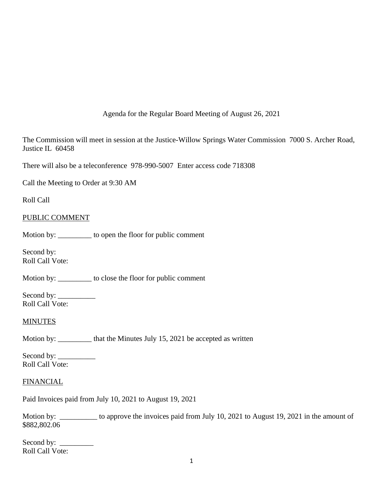Agenda for the Regular Board Meeting of August 26, 2021

The Commission will meet in session at the Justice-Willow Springs Water Commission 7000 S. Archer Road, Justice IL 60458

There will also be a teleconference 978-990-5007 Enter access code 718308

Call the Meeting to Order at 9:30 AM

Roll Call

# PUBLIC COMMENT

Motion by: \_\_\_\_\_\_\_\_\_ to open the floor for public comment

Second by: Roll Call Vote:

Motion by: \_\_\_\_\_\_\_\_\_ to close the floor for public comment

Second by: \_\_\_\_\_\_\_\_\_\_ Roll Call Vote:

### **MINUTES**

Motion by: \_\_\_\_\_\_\_\_\_\_ that the Minutes July 15, 2021 be accepted as written

Second by:  $\_\_$ Roll Call Vote:

### **FINANCIAL**

Paid Invoices paid from July 10, 2021 to August 19, 2021

Motion by: \_\_\_\_\_\_\_\_\_\_\_ to approve the invoices paid from July 10, 2021 to August 19, 2021 in the amount of \$882,802.06

Second by: \_\_\_\_\_\_\_\_\_ Roll Call Vote: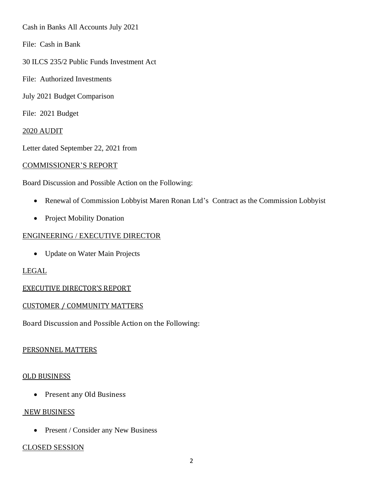Cash in Banks All Accounts July 2021

- File: Cash in Bank
- 30 ILCS 235/2 Public Funds Investment Act
- File: Authorized Investments
- July 2021 Budget Comparison
- File: 2021 Budget

### 2020 AUDIT

Letter dated September 22, 2021 from

### COMMISSIONER'S REPORT

Board Discussion and Possible Action on the Following:

- Renewal of Commission Lobbyist Maren Ronan Ltd's Contract as the Commission Lobbyist
- Project Mobility Donation

### ENGINEERING / EXECUTIVE DIRECTOR

• Update on Water Main Projects

# LEGAL

# EXECUTIVE DIRECTOR'S REPORT

# CUSTOMER / COMMUNITY MATTERS

Board Discussion and Possible Action on the Following:

### PERSONNEL MATTERS

### OLD BUSINESS

• Present any Old Business

### NEW BUSINESS

• Present / Consider any New Business

### CLOSED SESSION